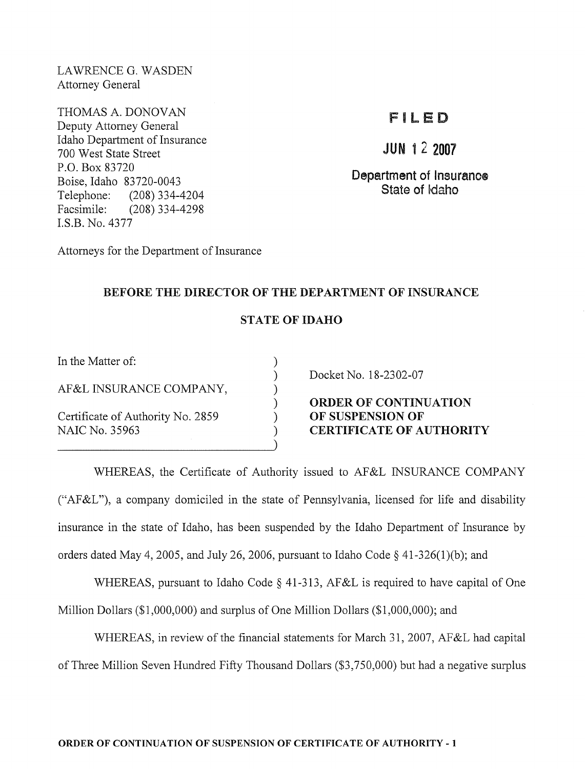LAWRENCE G. WASDEN Attorney General

THOMAS A. DONOVAN Deputy Attorney General Idaho Department of Insurance 700 West State Street P.O. Box 83720 Boise, Idaho 83720-0043 Telephone: (208) 334-4204 Facsimile: (208) 334-4298 LS.B. No. 4377

# FI LED

JUN 1 2 2007

Department of Insurance State of Idaho

Attorneys for the Department of Insurance

## BEFORE THE DIRECTOR OF THE DEPARTMENT OF INSURANCE

## STATE OF IDAHO

) ) ) ) ) )

In the Matter of:

AF&L INSURANCE COMPANY,

Certificate of Authority No. 2859 NAIC No. 35963

--------------------------~)

Docket No. 18-2302-07

ORDER OF CONTINUATION OF SUSPENSION OF CERTIFICATE OF AUTHORITY

WHEREAS, the Certificate of Authority issued to AF&L INSURANCE COMPANY ("AF&L"), a company domiciled in the state of Pennsylvania, licensed for life and disability insurance in the state of Idaho, has been suspended by the Idaho Department of Insurance by orders dated May 4, 2005, and July 26, 2006, pursuant to Idaho Code  $\S$  41-326(1)(b); and

WHEREAS, pursuant to Idaho Code § 41-313, AF&L is required to have capital of One Million Dollars (\$1,000,000) and surplus of One Million Dollars (\$1,000,000); and

WHEREAS, in review of the financial statements for March 31, 2007, AF&L had capital of Three Million Seven Hundred Fifty Thousand Dollars (\$3,750,000) but had a negative surplus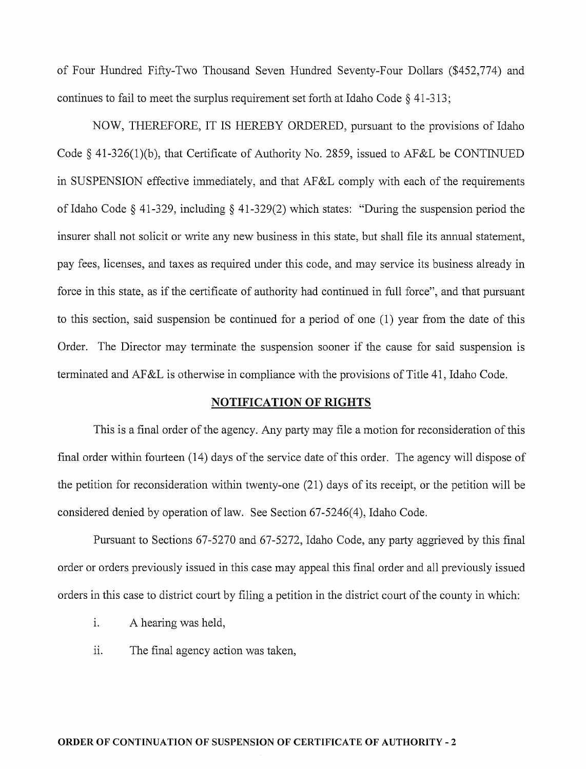of Four Hundred Fifty-Two Thousand Seven Hundred Seventy-Four Dollars (\$452,774) and continues to fail to meet the surplus requirement set forth at Idaho Code § 41-313;

NOW, THEREFORE, IT IS HEREBY ORDERED, pursuant to the provisions of Idaho Code § 41-326(1)(b), that Certificate of Authority No. 2859, issued to AF&L be CONTINUED in SUSPENSION effective immediately, and that AF&L comply with each of the requirements of Idaho Code § 41-329, including § 41-329(2) which states: "During the suspension period the insurer shall not solicit or write any new business in this state, but shall file its annual statement, pay fees, licenses, and taxes as required under this code, and may service its business already in force in this state, as if the certificate of authority had continued in full force", and that pursuant to this section, said suspension be continued for a period of one (1) year from the date of this Order. The Director may terminate the suspension sooner if the cause for said suspension is terminated and AF &L is otherwise in compliance with the provisions of Title 41, Idaho Code.

### **NOTIFICATION OF RIGHTS**

This is a final order of the agency. Any party may file a motion for reconsideration of this final order within fourteen (14) days of the service date of this order. The agency will dispose of the petition for reconsideration within twenty-one (21) days of its receipt, or the petition will be considered denied by operation of law. See Section 67 -5246(4), Idaho Code.

Pursuant to Sections 67-5270 and 67-5272, Idaho Code, any party aggrieved by this final order or orders previously issued in this case may appeal this final order and all previously issued orders in this case to district court by filing a petition in the district court of the county in which:

- 1. A hearing was held,
- ii. The final agency action was taken,

#### **ORDER OF CONTINUATION OF SUSPENSION OF CERTIFICATE OF AUTHORITY** - 2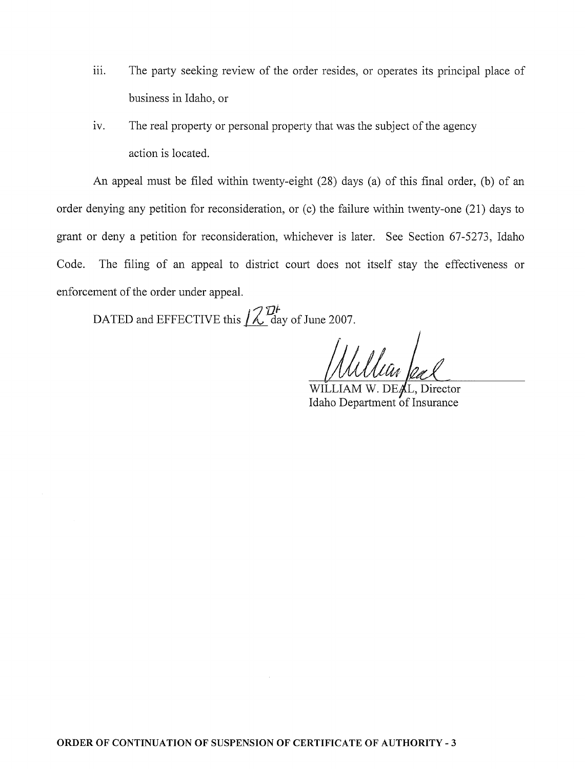- iii. The party seeking review of the order resides, or operates its principal place of business in Idaho, or
- iv. The real property or personal property that was the subject of the agency action is located.

An appeal must be filed within twenty-eight (28) days (a) of this final order, (b) of an order denying any petition for reconsideration, or (c) the failure within twenty-one (21) days to grant or deny a petition for reconsideration, whichever is later. See Section 67-5273, Idaho Code. The filing of an appeal to district court does not itself stay the effectiveness or enforcement of the order under appeal.

DATED and EFFECTIVE this  $\iiint_{\alpha} \mathcal{D}^i$  day of June 2007.

MW. DEAL, Director Idaho Department of Insurance